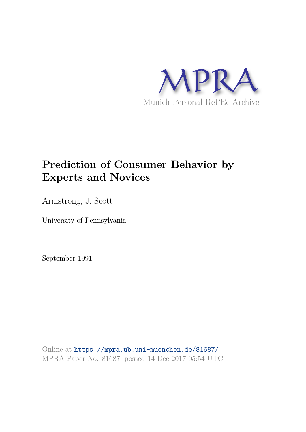

# **Prediction of Consumer Behavior by Experts and Novices**

Armstrong, J. Scott

University of Pennsylvania

September 1991

Online at https://mpra.ub.uni-muenchen.de/81687/ MPRA Paper No. 81687, posted 14 Dec 2017 05:54 UTC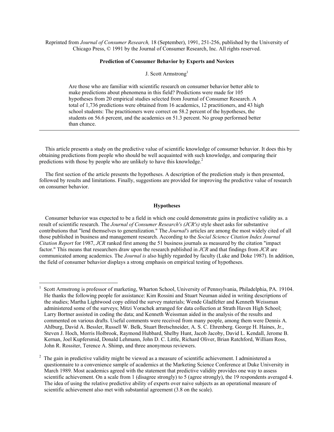Reprinted from *Journal of Consumer Research,* 18 (September), 1991, 251-256, published by the University of Chicago Press, © 1991 by the Journal of Consumer Research, Inc. All rights reserved.

#### **Prediction of Consumer Behavior by Experts and Novices**

# J. Scott Armstrong<sup>1</sup>

Are those who are familiar with scientific research on consumer behavior better able to make predictions about phenomena in this field? Predictions were made for 105 hypotheses from 20 empirical studies selected from Journal of Consumer Research. A total of 1,736 predictions were obtained from 16 academics, 12 practitioners, and 43 high school students: The practitioners were correct on 58.2 percent of the hypotheses, the students on 56.6 percent, and the academics on 51.3 percent. No group performed better than chance.

This article presents a study on the predictive value of scientific knowledge of consumer behavior. It does this by obtaining predictions from people who should be well acquainted with such knowledge, and comparing their predictions with those by people who are unlikely to have this knowledge.<sup>2</sup>

The first section of the article presents the hypotheses. A description of the prediction study is then presented, followed by results and limitations. Finally, suggestions are provided for improving the predictive value of research on consumer behavior.

#### **Hypotheses**

Consumer behavior was expected to be a field in which one could demonstrate gains in predictive validity as. a result of scientific research. The *Journal of Consumer Research's (JCR's)* style sheet asks for substantive contributions that "lend themselves to generalization." The *Journal's* articles are among the most widely cited of all those published in business and management research. According to the *Social Science Citation Index Journal Citation Report* for 1987, *JCR* ranked first among the 51 business journals as measured by the citation "impact factor." This means that researchers draw upon the research published in *JCR* and that findings from *JCR* are communicated among academics. The *Journal is* also highly regarded by faculty (Luke and Doke 1987). In addition, the field of consumer behavior displays a strong emphasis on empirical testing of hypotheses.

<u>.</u>

<sup>1</sup> Scott Armstrong is professor of marketing, Wharton School, University of Pennsylvania, Philadelphia, PA. 19104. He thanks the following people for assistance: Kim Rossini and Stuart Neuman aided in writing descriptions of the studies; Martha Lightwood copy edited the survey materials; Wende Gladfelter and Kenneth Weissman administered some of the surveys; Mitzi Vorachek arranged for data collection at Strath Haven High School; Larry Bortner assisted in coding the data; and Kenneth Weissman aided in the analysis of the results and commented on various drafts. Useful comments were received from many people, among them were Dennis A. Ahlburg, David A. Bessler, Russell W. Belk, Stuart Bretschneider, A. S. C. Ehrenberg. George H. Haines, Jr., Steven J. Hoch, Morris Holbrook, Raymond Hubbard, Shelby Hunt, Jacob Jacoby, David L. Kendall, Jerome B. Kernan, Joel Kupfersmid, Donald Lehmann, John D. C. Little, Richard Oliver, Brian Ratchford, William Ross, John R. Rossiter, Terence A. Shimp, and three anonymous reviewers.

<sup>2</sup> The gain in predictive validity might be viewed as a measure of scientific achievement. I administered a questionnaire to a convenience sample of academics at the Marketing Science Conference at Duke University in March 1989. Most academics agreed with the statement that predictive validity provides one way to assess scientific achievement. On a scale from 1 (disagree strongly) to 5 (agree strongly), the 19 respondents averaged 4. The idea of using the relative predictive ability of experts over naive subjects as an operational measure of scientific achievement also met with substantial agreement (3.8 on the scale).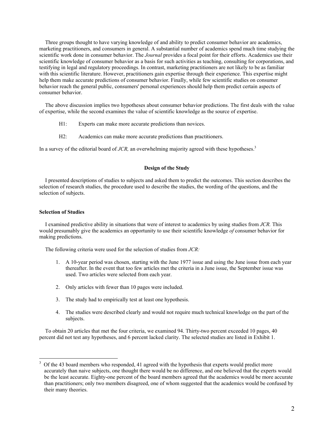Three groups thought to have varying knowledge of and ability to predict consumer behavior are academics, marketing practitioners, and consumers in general. A substantial number of academics spend much time studying the scientific work done in consumer behavior. The *Journal* provides a focal point for their efforts. Academics use their scientific knowledge of consumer behavior as a basis for such activities as teaching, consulting for corporations, and testifying in legal and regulatory proceedings. In contrast, marketing practitioners are not likely to be as familiar with this scientific literature. However, practitioners gain expertise through their experience. This expertise might help them make accurate predictions of consumer behavior. Finally, while few scientific studies on consumer behavior reach the general public, consumers' personal experiences should help them predict certain aspects of consumer behavior.

The above discussion implies two hypotheses about consumer behavior predictions. The first deals with the value of expertise, while the second examines the value of scientific knowledge as the source of expertise.

- H1: Experts can make more accurate predictions than novices.
- H2: Academics can make more accurate predictions than practitioners.

In a survey of the editorial board of *JCR*, an overwhelming majority agreed with these hypotheses.<sup>3</sup>

# **Design of the Study**

I presented descriptions of studies to subjects and asked them to predict the outcomes. This section describes the selection of research studies, the procedure used to describe the studies, the wording of the questions, and the selection of subjects.

#### **Selection of Studies**

<u>.</u>

I examined predictive ability in situations that were of interest to academics by using studies from *JCR.* This would presumably give the academics an opportunity to use their scientific knowledge *of* consumer behavior for making predictions.

The following criteria were used for the selection of studies from *JCR:* 

- 1. A 10-year period was chosen, starting with the June 1977 issue and using the June issue from each year thereafter. In the event that too few articles met the criteria in a June issue, the September issue was used. Two articles were selected from each year.
- 2. Only articles with fewer than 10 pages were included.
- 3. The study had to empirically test at least one hypothesis.
- 4. The studies were described clearly and would not require much technical knowledge on the part of the subjects.

To obtain 20 articles that met the four criteria, we examined 94. Thirty-two percent exceeded 10 pages, 40 percent did not test any hypotheses, and 6 percent lacked clarity. The selected studies are listed in Exhibit 1.

<sup>3</sup> Of the 43 board members who responded, 41 agreed with the hypothesis that experts would predict more accurately than naive subjects, one thought there would be no difference, and one believed that the experts would be the least accurate. Eighty-one percent of the board members agreed that the academics would be more accurate than practitioners; only two members disagreed, one of whom suggested that the academics would be confused by their many theories.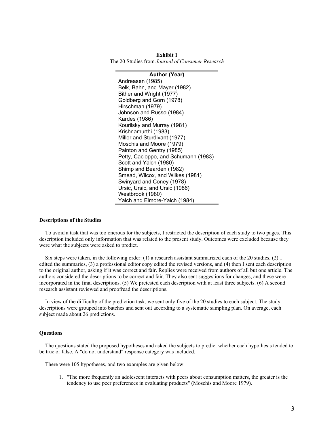**Exhibit 1**  The 20 Studies from *Journal of Consumer Research* 

| <b>Author (Year)</b>                 |  |  |  |
|--------------------------------------|--|--|--|
| Andreasen (1985)                     |  |  |  |
| Belk, Bahn, and Mayer (1982)         |  |  |  |
| Bither and Wright (1977)             |  |  |  |
| Goldberg and Gorn (1978)             |  |  |  |
| Hirschman (1979)                     |  |  |  |
| Johnson and Russo (1984)             |  |  |  |
| Kardes (1986)                        |  |  |  |
| Kourilsky and Murray (1981)          |  |  |  |
| Krishnamurthi (1983)                 |  |  |  |
| Miller and Sturdivant (1977)         |  |  |  |
| Moschis and Moore (1979)             |  |  |  |
| Painton and Gentry (1985)            |  |  |  |
| Petty, Cacioppo, and Schumann (1983) |  |  |  |
| Scott and Yalch (1980)               |  |  |  |
| Shimp and Bearden (1982)             |  |  |  |
| Smead, Wilcox, and Wilkes (1981)     |  |  |  |
| Swinyard and Coney (1978)            |  |  |  |
| Ursic, Ursic, and Ursic (1986)       |  |  |  |
| Westbrook (1980)                     |  |  |  |
| Yalch and Elmore-Yalch (1984)        |  |  |  |

#### **Descriptions of the Studies**

To avoid a task that was too onerous for the subjects, I restricted the description of each study to two pages. This description included only information that was related to the present study. Outcomes were excluded because they were what the subjects were asked to predict.

Six steps were taken, in the following order: (1) a research assistant summarized each of the 20 studies, (2) 1 edited the summaries, (3) a professional editor copy edited the revised versions, and (4) then I sent each description to the original author, asking if it was correct and fair. Replies were received from authors of all but one article. The authors considered the descriptions to be correct and fair. They also sent suggestions for changes, and these were incorporated in the final descriptions. (5) We pretested each description with at least three subjects. (6) A second research assistant reviewed and proofread the descriptions.

In view of the difficulty of the prediction task, we sent only five of the 20 studies to each subject. The study descriptions were grouped into batches and sent out according to a systematic sampling plan. On average, each subject made about 26 predictions.

### **Questions**

The questions stated the proposed hypotheses and asked the subjects to predict whether each hypothesis tended to be true or false. A "do not understand" response category was included.

There were 105 hypotheses, and two examples are given below.

1. "The more frequently an adolescent interacts with peers about consumption matters, the greater is the tendency to use peer preferences in evaluating products" (Moschis and Moore 1979).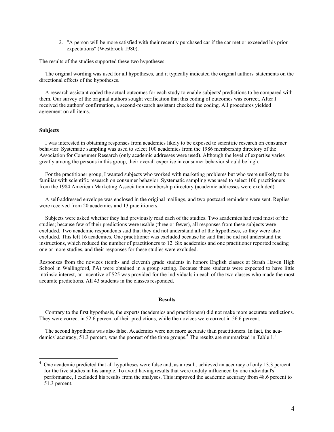2. "A person will be more satisfied with their recently purchased car if the car met or exceeded his prior expectations" (Westbrook 1980).

The results of the studies supported these two hypotheses.

The original wording was used for all hypotheses, and it typically indicated the original authors' statements on the directional effects of the hypotheses.

A research assistant coded the actual outcomes for each study to enable subjects' predictions to be compared with them. Our survey of the original authors sought verification that this coding of outcomes was correct. After I received the authors' confirmation, a second-research assistant checked the coding. All procedures yielded agreement on all items.

## **Subjects**

<u>.</u>

I was interested in obtaining responses from academics likely to be exposed to scientific research on consumer behavior. Systematic sampling was used to select 100 academics from the 1986 membership directory of the Association for Consumer Research (only academic addresses were used). Although the level of expertise varies greatly among the persons in this group, their overall expertise in consumer behavior should be high.

For the practitioner group, I wanted subjects who worked with marketing problems but who were unlikely to be familiar with scientific research on consumer behavior. Systematic sampling was used to select 100 practitioners from the 1984 American Marketing Association membership directory (academic addresses were excluded).

A self-addressed envelope was enclosed in the original mailings, and two postcard reminders were sent. Replies were received from 20 academics and 13 practitioners.

Subjects were asked whether they had previously read each of the studies. Two academics had read most of the studies; because few of their predictions were usable (three or fewer), all responses from these subjects were excluded. Two academic respondents said that they did not understand all of the hypotheses, so they were also excluded. This left 16 academics. One practitioner was excluded because he said that he did not understand the instructions, which reduced the number of practitioners to 12. Six academics and one practitioner reported reading one or more studies, and their responses for these studies were excluded.

Responses from the novices (tenth- and eleventh grade students in honors English classes at Strath Haven High School in Wallingford, PA) were obtained in a group setting. Because these students were expected to have little intrinsic interest, an incentive of \$25 was provided for the individuals in each of the two classes who made the most accurate predictions. All 43 students in the classes responded.

### **Results**

Contrary to the first hypothesis, the experts (academics and practitioners) did not make more accurate predictions. They were correct in 52.6 percent of their predictions, while the novices were correct in 56.6 percent.

The second hypothesis was also false. Academics were not more accurate than practitioners. In fact, the academics' accuracy, 51.3 percent, was the poorest of the three groups.<sup>4</sup> The results are summarized in Table 1.<sup>5</sup>

<sup>4</sup> One academic predicted that all hypotheses were false and, as a result, achieved an accuracy of only 13.3 percent for the five studies in his sample. To avoid having results that were unduly influenced by one individual's performance, I excluded his results from the analyses. This improved the academic accuracy from 48.6 percent to 51.3 percent.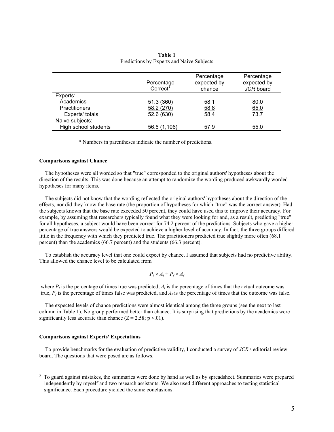|                      | Percentage<br>Correct* | Percentage<br>expected by<br>chance | Percentage<br>expected by<br>JCR board |
|----------------------|------------------------|-------------------------------------|----------------------------------------|
| Experts:             |                        |                                     |                                        |
| Academics            | 51.3 (360)             | 58.1                                | 80.0                                   |
| <b>Practitioners</b> | 58.2 (270)             | 58.8                                | 65.0                                   |
| Experts' totals      | 52.6 (630)             | 58.4                                | 73.7                                   |
| Naive subjects:      |                        |                                     |                                        |
| High school students | 56.6 (1,106)           | 57.9                                | 55.0                                   |

**Table 1**  Predictions by Experts and Naive Subjects

\* Numbers in parentheses indicate the number of predictions.

#### **Comparisons against Chance**

The hypotheses were all worded so that "true" corresponded to the original authors' hypotheses about the direction of the results. This was done because an attempt to randomize the wording produced awkwardly worded hypotheses for many items.

The subjects did not know that the wording reflected the original authors' hypotheses about the direction of the effects, nor did they know the base rate (the proportion of hypotheses for which "true" was the correct answer). Had the subjects known that the base rate exceeded 50 percent, they could have used this to improve their accuracy. For example, by assuming that researchers typically found what they were looking for and, as a result, predicting "true" for all hypotheses, a subject would have been correct for 74.2 percent of the predictions. Subjects who gave a higher percentage of true answers would be expected to achieve a higher level of accuracy. In fact, the three groups differed little in the frequency with which they predicted true. The practitioners predicted true slightly more often (68.1 percent) than the academics (66.7 percent) and the students (66.3 percent).

To establish the accuracy level that one could expect by chance, I assumed that subjects had no predictive ability. This allowed the chance level to be calculated from

$$
P_t \times A_t + P_f \times A_f
$$

where  $P_t$  is the percentage of times true was predicted,  $A_t$  is the percentage of times that the actual outcome was true,  $P_f$  is the percentage of times false was predicted, and  $A_f$  is the percentage of times that the outcome was false.

The expected levels of chance predictions were almost identical among the three groups (see the next to last column in Table 1). No group performed better than chance. It is surprising that predictions by the academics were significantly less accurate than chance  $(Z = 2.58; p < 0.01)$ .

#### **Comparisons against Experts' Expectations**

To provide benchmarks for the evaluation of predictive validity, I conducted a survey of *JCR*'s editorial review board. The questions that were posed are as follows.

<sup>&</sup>lt;sup>5</sup> To guard against mistakes, the summaries were done by hand as well as by spreadsheet. Summaries were prepared independently by myself and two research assistants. We also used different approaches to testing statistical significance. Each procedure yielded the same conclusions.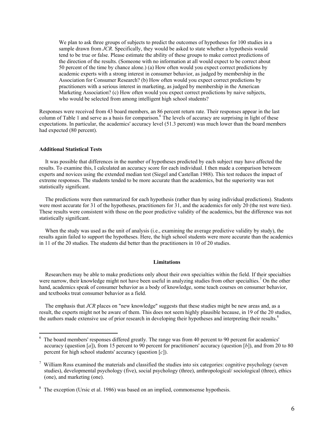We plan to ask three groups of subjects to predict the outcomes of hypotheses for 100 studies in a sample drawn from *JCR*. Specifically, they would be asked to state whether a hypothesis would tend to be true or false. Please estimate the ability of these groups to make correct predictions of the direction of the results. (Someone with no information at all would expect to be correct about 50 percent of the time by chance alone.) (a) How often would you expect correct predictions by academic experts with a strong interest in consumer behavior, as judged by membership in the Association for Consumer Research? (b) How often would you expect correct predictions by practitioners with a serious interest in marketing, as judged by membership in the American Marketing Association? (c) How often would you expect correct predictions by naive subjects, who would be selected from among intelligent high school students?

Responses were received from 43 board members, an 86 percent return rate. Their responses appear in the last column of Table 1 and serve as a basis for comparison.<sup>6</sup> The levels of accuracy are surprising in light of these expectations. In particular, the academics' accuracy level (51.3 percent) was much lower than the board members had expected (80 percent).

## **Additional Statistical Tests**

It was possible that differences in the number of hypotheses predicted by each subject may have affected the results. To examine this, I calculated an accuracy score for each individual. I then made a comparison between experts and novices using the extended median test (Siegel and Castellan 1988). This test reduces the impact of extreme responses. The students tended to be more accurate than the academics, but the superiority was not statistically significant.

The predictions were then summarized for each hypothesis (rather than by using individual predictions). Students were most accurate for 31 of the hypotheses, practitioners for 31, and the academics for only 20 (the rest were ties). These results were consistent with those on the poor predictive validity of the academics, but the difference was not statistically significant.

When the study was used as the unit of analysis (i.e., examining the average predictive validity by study), the results again failed to support the hypotheses. Here, the high school students were more accurate than the academics in 11 of the 20 studies. The students did better than the practitioners in 10 of 20 studies.

#### **Limitations**

Researchers may be able to make predictions only about their own specialties within the field. If their specialties were narrow, their knowledge might not have been useful in analyzing studies from other specialties.<sup>7</sup> On the other hand, academics speak of consumer behavior as a body of knowledge, some teach courses on consumer behavior, and textbooks treat consumer behavior as a field.

The emphasis that *JCR* places on "new knowledge" suggests that these studies might be new areas and, as a result, the experts might not be aware of them. This does not seem highly plausible because, in 19 of the 20 studies, the authors made extensive use of prior research in developing their hypotheses and interpreting their results.<sup>8</sup>

The board members' responses differed greatly. The range was from 40 percent to 90 percent for academics' accuracy (question [*a*]), from 15 percent to 90 percent for practitioners' accuracy (question [*b*]), and from 20 to 80 percent for high school students' accuracy (question [*c*]).

 $7$  William Ross examined the materials and classified the studies into six categories: cognitive psychology (seven studies), developmental psychology (five), social psychology (three), anthropological/ sociological (three), ethics (one), and marketing (one).

<sup>&</sup>lt;sup>8</sup> The exception (Ursic et al. 1986) was based on an implied, commonsense hypothesis.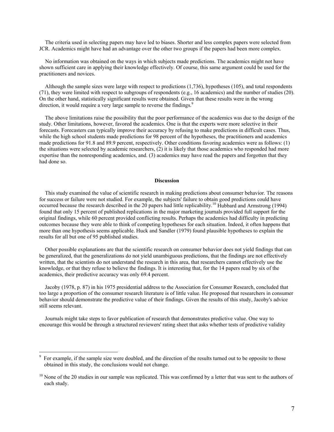The criteria used in selecting papers may have led to biases. Shorter and less complex papers were selected from JCR. Academics might have had an advantage over the other two groups if the papers had been more complex.

No information was obtained on the ways in which subjects made predictions. The academics might not have shown sufficient care in applying their knowledge effectively. Of course, this same argument could be used for the practitioners and novices.

Although the sample sizes were large with respect to predictions (1,736), hypotheses (105), and total respondents (71), they were limited with respect to subgroups of respondents (e.g., 16 academics) and the number of studies (20). On the other hand, statistically significant results were obtained. Given that these results were in the wrong direction, it would require a very large sample to reverse the findings.<sup>9</sup>

The above limitations raise the possibility that the poor performance of the academics was due to the design of the study. Other limitations, however, favored the academics. One is that the experts were more selective in their forecasts. Forecasters can typically improve their accuracy by refusing to make predictions in difficult cases. Thus, while the high school students made predictions for 98 percent of the hypotheses, the practitioners and academics made predictions for 91.8 and 89.9 percent, respectively. Other conditions favoring academics were as follows: (1) the situations were selected by academic researchers, (2) it is likely that those academics who responded had more expertise than the nonresponding academics, and. (3) academics may have read the papers and forgotten that they had done so.

## **Discussion**

This study examined the value of scientific research in making predictions about consumer behavior. The reasons for success or failure were not studied. For example, the subjects' failure to obtain good predictions could have occurred because the research described in the 20 papers had little replicability.<sup>10</sup> Hubbard and Armstrong (1994) found that only 15 percent of published replications in the major marketing journals provided full support for the original findings, while 60 percent provided conflicting results. Perhaps the academics had difficulty in predicting outcomes because they were able to think of competing hypotheses for each situation. Indeed, it often happens that more than one hypothesis seems applicable. Huck and Sandler (1979) found plausible hypotheses to explain the results for all but one of 95 published studies.

Other possible explanations are that the scientific research on consumer behavior does not yield findings that can be generalized, that the generalizations do not yield unambiguous predictions, that the findings are not effectively written, that the scientists do not understand the research in this area, that researchers cannot effectively use the knowledge, or that they refuse to believe the findings. It is interesting that, for the 14 papers read by six of the academics, their predictive accuracy was only 69.4 percent.

Jacoby (1978, p. 87) in his 1975 presidential address to the Association for Consumer Research, concluded that too large a proportion of the consumer research literature is of little value. He proposed that researchers in consumer behavior should demonstrate the predictive value of their findings. Given the results of this study, Jacoby's advice still seems relevant.

Journals might take steps to favor publication of research that demonstrates predictive value. One way to encourage this would be through a structured reviewers' rating sheet that asks whether tests of predictive validity

<sup>&</sup>lt;sup>9</sup> For example, if the sample size were doubled, and the direction of the results turned out to be opposite to those obtained in this study, the conclusions would not change.

 $10$  None of the 20 studies in our sample was replicated. This was confirmed by a letter that was sent to the authors of each study.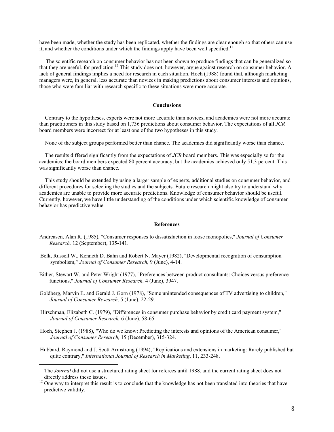have been made, whether the study has been replicated, whether the findings are clear enough so that others can use it, and whether the conditions under which the findings apply have been well specified.<sup>11</sup>

 The scientific research on consumer behavior has not been shown to produce findings that can be generalized so that they are useful, for prediction.<sup>12</sup> This study does not, however, argue against research on consumer behavior. A lack of general findings implies a need for research in each situation. Hoch (1988) found that, although marketing managers were, in general, less accurate than novices in making predictions about consumer interests and opinions, those who were familiar with research specific to these situations were more accurate.

## **Conclusions**

Contrary to the hypotheses, experts were not more accurate than novices, and academics were not more accurate than practitioners in this study based on 1,736 predictions about consumer behavior. The expectations of all *JCR* board members were incorrect for at least one of the two hypotheses in this study.

None of the subject groups performed better than chance. The academics did significantly worse than chance.

The results differed significantly from the expectations of *JCR* board members. This was especially so for the academics; the board members expected 80 percent accuracy, but the academics achieved only 51.3 percent. This was significantly worse than chance.

This study should be extended by using a larger sample of experts, additional studies on consumer behavior, and different procedures for selecting the studies and the subjects. Future research might also try to understand why academics are unable to provide more accurate predictions. Knowledge of consumer behavior should be useful. Currently, however, we have little understanding of the conditions under which scientific knowledge of consumer behavior has predictive value.

#### **References**

- Andreasen, Alan R. (1985), "Consumer responses to dissatisfaction in loose monopolies," *Journal of Consumer Research,* 12 (September), 135-141.
- Belk, Russell W., Kenneth D. Bahn and Robert N. Mayer (1982), "Developmental recognition of consumption symbolism," *Journal of Consumer Research,* 9 (June), 4-14.
- Bither, Stewart W. and Peter Wright (1977), "Preferences between product consultants: Choices versus preference functions," *Journal of Consumer Research,* 4 (June), 3947.
- Goldberg, Marvin E. and Gerald J. Gorn (1978), "Some unintended consequences of TV advertising to children," *Journal of Consumer Research,* 5 (June), 22-29.
- Hirschman, Elizabeth C. (1979), "Differences in consumer purchase behavior by credit card payment system," *Journal of Consumer Research,* 6 (June), 58-65.
- Hoch, Stephen J. (1988), "Who do we know: Predicting the interests and opinions of the American consumer," *Journal of Consumer Research,* 15 (December), 315-324.
- Hubbard, Raymond and J. Scott Armstrong (1994), "Replications and extensions in marketing: Rarely published but quite contrary," *International Journal of Research in Marketing*, 11, 233-248.

 $\overline{a}$ 

<sup>&</sup>lt;sup>11</sup> The *Journal* did not use a structured rating sheet for referees until 1988, and the current rating sheet does not directly address these issues.

 $12$  One way to interpret this result is to conclude that the knowledge has not been translated into theories that have predictive validity.